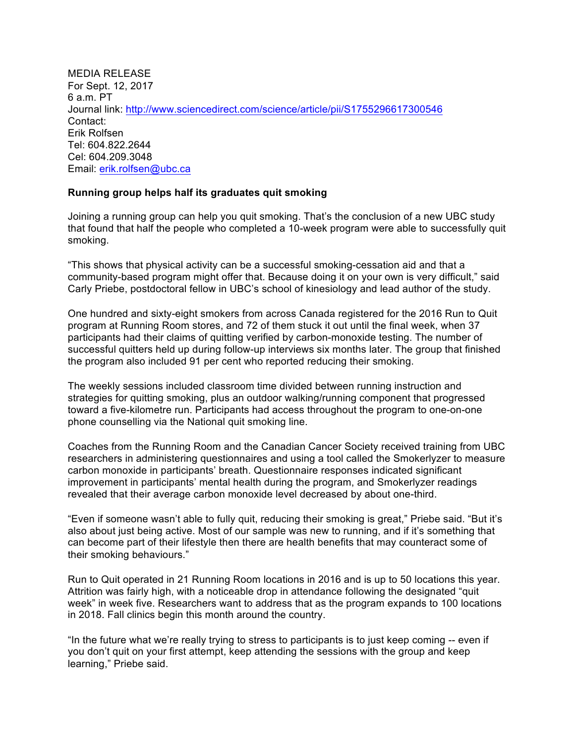MEDIA RELEASE For Sept. 12, 2017 6 a.m. PT Journal link: http://www.sciencedirect.com/science/article/pii/S1755296617300546 Contact: Erik Rolfsen Tel: 604.822.2644 Cel: 604.209.3048 Email: erik.rolfsen@ubc.ca

## **Running group helps half its graduates quit smoking**

Joining a running group can help you quit smoking. That's the conclusion of a new UBC study that found that half the people who completed a 10-week program were able to successfully quit smoking.

"This shows that physical activity can be a successful smoking-cessation aid and that a community-based program might offer that. Because doing it on your own is very difficult," said Carly Priebe, postdoctoral fellow in UBC's school of kinesiology and lead author of the study.

One hundred and sixty-eight smokers from across Canada registered for the 2016 Run to Quit program at Running Room stores, and 72 of them stuck it out until the final week, when 37 participants had their claims of quitting verified by carbon-monoxide testing. The number of successful quitters held up during follow-up interviews six months later. The group that finished the program also included 91 per cent who reported reducing their smoking.

The weekly sessions included classroom time divided between running instruction and strategies for quitting smoking, plus an outdoor walking/running component that progressed toward a five-kilometre run. Participants had access throughout the program to one-on-one phone counselling via the National quit smoking line.

Coaches from the Running Room and the Canadian Cancer Society received training from UBC researchers in administering questionnaires and using a tool called the Smokerlyzer to measure carbon monoxide in participants' breath. Questionnaire responses indicated significant improvement in participants' mental health during the program, and Smokerlyzer readings revealed that their average carbon monoxide level decreased by about one-third.

"Even if someone wasn't able to fully quit, reducing their smoking is great," Priebe said. "But it's also about just being active. Most of our sample was new to running, and if it's something that can become part of their lifestyle then there are health benefits that may counteract some of their smoking behaviours."

Run to Quit operated in 21 Running Room locations in 2016 and is up to 50 locations this year. Attrition was fairly high, with a noticeable drop in attendance following the designated "quit week" in week five. Researchers want to address that as the program expands to 100 locations in 2018. Fall clinics begin this month around the country.

"In the future what we're really trying to stress to participants is to just keep coming -- even if you don't quit on your first attempt, keep attending the sessions with the group and keep learning," Priebe said.